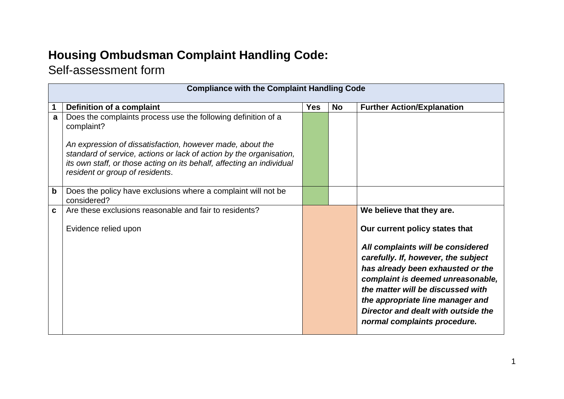## **Housing Ombudsman Complaint Handling Code:**

## Self-assessment form

|             | <b>Compliance with the Complaint Handling Code</b>                                                                                                                                                                                           |            |           |                                                                                                                                                                                                                        |  |
|-------------|----------------------------------------------------------------------------------------------------------------------------------------------------------------------------------------------------------------------------------------------|------------|-----------|------------------------------------------------------------------------------------------------------------------------------------------------------------------------------------------------------------------------|--|
|             | Definition of a complaint                                                                                                                                                                                                                    | <b>Yes</b> | <b>No</b> | <b>Further Action/Explanation</b>                                                                                                                                                                                      |  |
| a           | Does the complaints process use the following definition of a<br>complaint?                                                                                                                                                                  |            |           |                                                                                                                                                                                                                        |  |
|             | An expression of dissatisfaction, however made, about the<br>standard of service, actions or lack of action by the organisation,<br>its own staff, or those acting on its behalf, affecting an individual<br>resident or group of residents. |            |           |                                                                                                                                                                                                                        |  |
| $\mathbf b$ | Does the policy have exclusions where a complaint will not be<br>considered?                                                                                                                                                                 |            |           |                                                                                                                                                                                                                        |  |
| C           | Are these exclusions reasonable and fair to residents?                                                                                                                                                                                       |            |           | We believe that they are.                                                                                                                                                                                              |  |
|             | Evidence relied upon                                                                                                                                                                                                                         |            |           | Our current policy states that                                                                                                                                                                                         |  |
|             |                                                                                                                                                                                                                                              |            |           | All complaints will be considered<br>carefully. If, however, the subject                                                                                                                                               |  |
|             |                                                                                                                                                                                                                                              |            |           | has already been exhausted or the<br>complaint is deemed unreasonable,<br>the matter will be discussed with<br>the appropriate line manager and<br>Director and dealt with outside the<br>normal complaints procedure. |  |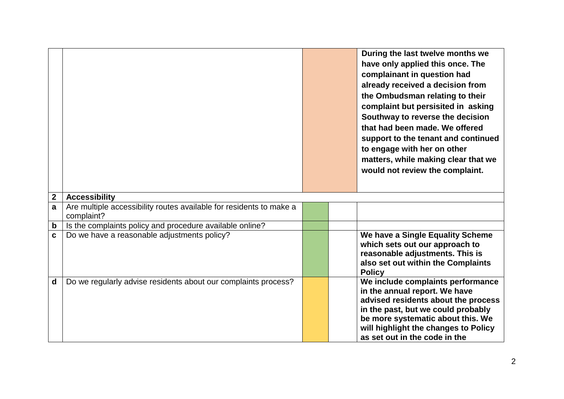|                |                                                                                   |  | During the last twelve months we<br>have only applied this once. The<br>complainant in question had<br>already received a decision from<br>the Ombudsman relating to their<br>complaint but persisited in asking<br>Southway to reverse the decision<br>that had been made. We offered<br>support to the tenant and continued<br>to engage with her on other<br>matters, while making clear that we<br>would not review the complaint. |
|----------------|-----------------------------------------------------------------------------------|--|----------------------------------------------------------------------------------------------------------------------------------------------------------------------------------------------------------------------------------------------------------------------------------------------------------------------------------------------------------------------------------------------------------------------------------------|
| $\overline{2}$ | <b>Accessibility</b>                                                              |  |                                                                                                                                                                                                                                                                                                                                                                                                                                        |
| a              | Are multiple accessibility routes available for residents to make a<br>complaint? |  |                                                                                                                                                                                                                                                                                                                                                                                                                                        |
| $\mathbf b$    | Is the complaints policy and procedure available online?                          |  |                                                                                                                                                                                                                                                                                                                                                                                                                                        |
| $\mathbf c$    | Do we have a reasonable adjustments policy?                                       |  | We have a Single Equality Scheme<br>which sets out our approach to<br>reasonable adjustments. This is<br>also set out within the Complaints<br><b>Policy</b>                                                                                                                                                                                                                                                                           |
| $\mathbf d$    | Do we regularly advise residents about our complaints process?                    |  | We include complaints performance<br>in the annual report. We have<br>advised residents about the process<br>in the past, but we could probably<br>be more systematic about this. We<br>will highlight the changes to Policy<br>as set out in the code in the                                                                                                                                                                          |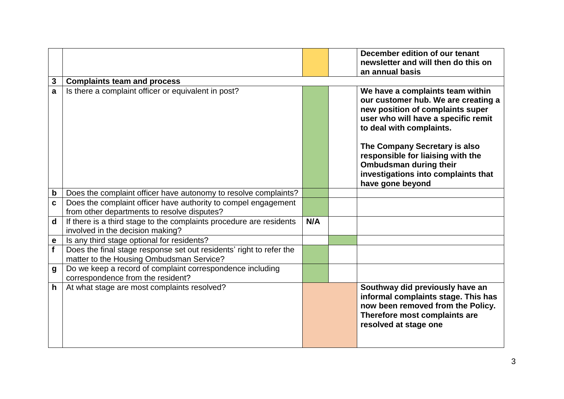|                  |                                                                                                                 |     | December edition of our tenant<br>newsletter and will then do this on                                                                                                          |
|------------------|-----------------------------------------------------------------------------------------------------------------|-----|--------------------------------------------------------------------------------------------------------------------------------------------------------------------------------|
|                  |                                                                                                                 |     | an annual basis                                                                                                                                                                |
| $\mathbf{3}$     | <b>Complaints team and process</b>                                                                              |     |                                                                                                                                                                                |
| a                | Is there a complaint officer or equivalent in post?                                                             |     | We have a complaints team within<br>our customer hub. We are creating a<br>new position of complaints super<br>user who will have a specific remit<br>to deal with complaints. |
|                  |                                                                                                                 |     | The Company Secretary is also<br>responsible for liaising with the<br><b>Ombudsman during their</b><br>investigations into complaints that<br>have gone beyond                 |
| $\mathbf b$      | Does the complaint officer have autonomy to resolve complaints?                                                 |     |                                                                                                                                                                                |
| $\mathbf c$      | Does the complaint officer have authority to compel engagement                                                  |     |                                                                                                                                                                                |
|                  | from other departments to resolve disputes?                                                                     |     |                                                                                                                                                                                |
| $\mathbf d$      | If there is a third stage to the complaints procedure are residents<br>involved in the decision making?         | N/A |                                                                                                                                                                                |
| $\mathbf e$      | Is any third stage optional for residents?                                                                      |     |                                                                                                                                                                                |
| f                | Does the final stage response set out residents' right to refer the<br>matter to the Housing Ombudsman Service? |     |                                                                                                                                                                                |
| $\boldsymbol{g}$ | Do we keep a record of complaint correspondence including<br>correspondence from the resident?                  |     |                                                                                                                                                                                |
| $\mathsf{h}$     | At what stage are most complaints resolved?                                                                     |     | Southway did previously have an<br>informal complaints stage. This has<br>now been removed from the Policy.<br>Therefore most complaints are<br>resolved at stage one          |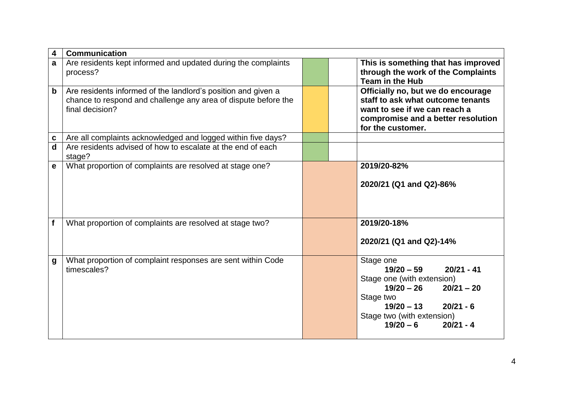| 4           | <b>Communication</b>                                                                                                                               |                                                                                                                                                                                                            |
|-------------|----------------------------------------------------------------------------------------------------------------------------------------------------|------------------------------------------------------------------------------------------------------------------------------------------------------------------------------------------------------------|
| a           | Are residents kept informed and updated during the complaints<br>process?                                                                          | This is something that has improved<br>through the work of the Complaints<br>Team in the Hub                                                                                                               |
| $\mathbf b$ | Are residents informed of the landlord's position and given a<br>chance to respond and challenge any area of dispute before the<br>final decision? | Officially no, but we do encourage<br>staff to ask what outcome tenants<br>want to see if we can reach a<br>compromise and a better resolution<br>for the customer.                                        |
| C           | Are all complaints acknowledged and logged within five days?                                                                                       |                                                                                                                                                                                                            |
| $\mathbf d$ | Are residents advised of how to escalate at the end of each<br>stage?                                                                              |                                                                                                                                                                                                            |
| $\mathbf e$ | What proportion of complaints are resolved at stage one?                                                                                           | 2019/20-82%<br>2020/21 (Q1 and Q2)-86%                                                                                                                                                                     |
| f           | What proportion of complaints are resolved at stage two?                                                                                           | 2019/20-18%<br>2020/21 (Q1 and Q2)-14%                                                                                                                                                                     |
| g           | What proportion of complaint responses are sent within Code<br>timescales?                                                                         | Stage one<br>$19/20 - 59$<br>$20/21 - 41$<br>Stage one (with extension)<br>$19/20 - 26$<br>$20/21 - 20$<br>Stage two<br>$19/20 - 13$<br>$20/21 - 6$<br>Stage two (with extension)<br>$19/20 - 6$ 20/21 - 4 |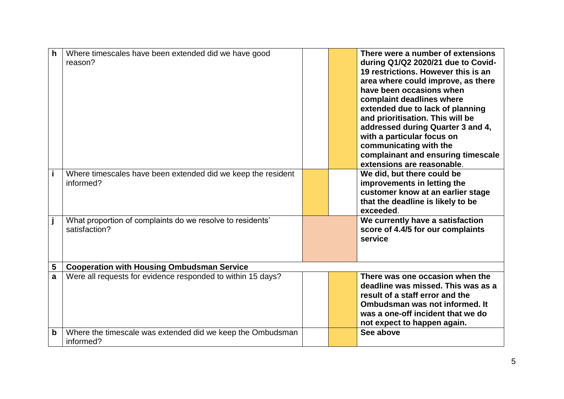| $\mathbf h$ | Where timescales have been extended did we have good<br>reason?            |  | There were a number of extensions<br>during Q1/Q2 2020/21 due to Covid-<br>19 restrictions. However this is an<br>area where could improve, as there<br>have been occasions when<br>complaint deadlines where<br>extended due to lack of planning<br>and prioritisation. This will be<br>addressed during Quarter 3 and 4,<br>with a particular focus on<br>communicating with the<br>complainant and ensuring timescale<br>extensions are reasonable. |
|-------------|----------------------------------------------------------------------------|--|--------------------------------------------------------------------------------------------------------------------------------------------------------------------------------------------------------------------------------------------------------------------------------------------------------------------------------------------------------------------------------------------------------------------------------------------------------|
| j.          | Where timescales have been extended did we keep the resident<br>informed?  |  | We did, but there could be<br>improvements in letting the<br>customer know at an earlier stage<br>that the deadline is likely to be<br>exceeded.                                                                                                                                                                                                                                                                                                       |
| j           | What proportion of complaints do we resolve to residents'<br>satisfaction? |  | We currently have a satisfaction<br>score of 4.4/5 for our complaints<br>service                                                                                                                                                                                                                                                                                                                                                                       |
| 5           | <b>Cooperation with Housing Ombudsman Service</b>                          |  |                                                                                                                                                                                                                                                                                                                                                                                                                                                        |
| a           | Were all requests for evidence responded to within 15 days?                |  | There was one occasion when the<br>deadline was missed. This was as a<br>result of a staff error and the<br>Ombudsman was not informed. It<br>was a one-off incident that we do<br>not expect to happen again.                                                                                                                                                                                                                                         |
| b           | Where the timescale was extended did we keep the Ombudsman<br>informed?    |  | See above                                                                                                                                                                                                                                                                                                                                                                                                                                              |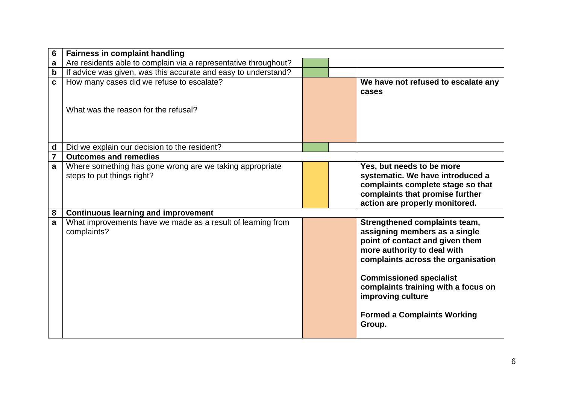| 6                           | <b>Fairness in complaint handling</b>                                                  |  |                                                                                                                                                                                                                                                                                                                      |
|-----------------------------|----------------------------------------------------------------------------------------|--|----------------------------------------------------------------------------------------------------------------------------------------------------------------------------------------------------------------------------------------------------------------------------------------------------------------------|
| $\mathbf a$                 | Are residents able to complain via a representative throughout?                        |  |                                                                                                                                                                                                                                                                                                                      |
| $\mathbf b$                 | If advice was given, was this accurate and easy to understand?                         |  |                                                                                                                                                                                                                                                                                                                      |
| $\mathbf c$                 | How many cases did we refuse to escalate?<br>What was the reason for the refusal?      |  | We have not refused to escalate any<br>cases                                                                                                                                                                                                                                                                         |
| $\operatorname{\mathsf{d}}$ | Did we explain our decision to the resident?                                           |  |                                                                                                                                                                                                                                                                                                                      |
| $\overline{7}$              | <b>Outcomes and remedies</b>                                                           |  |                                                                                                                                                                                                                                                                                                                      |
| a                           | Where something has gone wrong are we taking appropriate<br>steps to put things right? |  | Yes, but needs to be more<br>systematic. We have introduced a<br>complaints complete stage so that<br>complaints that promise further<br>action are properly monitored.                                                                                                                                              |
| ${\bf 8}$                   | <b>Continuous learning and improvement</b>                                             |  |                                                                                                                                                                                                                                                                                                                      |
| a                           | What improvements have we made as a result of learning from<br>complaints?             |  | Strengthened complaints team,<br>assigning members as a single<br>point of contact and given them<br>more authority to deal with<br>complaints across the organisation<br><b>Commissioned specialist</b><br>complaints training with a focus on<br>improving culture<br><b>Formed a Complaints Working</b><br>Group. |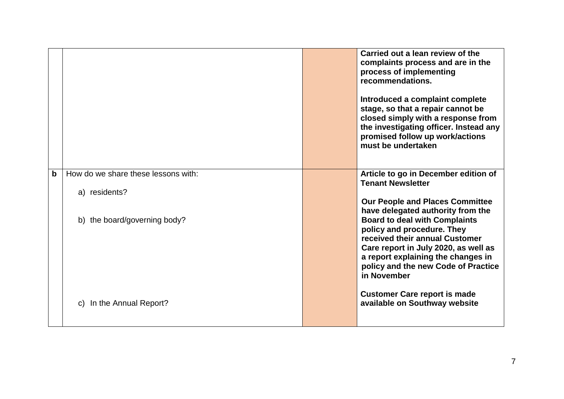|             |                                     | Carried out a lean review of the<br>complaints process and are in the<br>process of implementing<br>recommendations.<br>Introduced a complaint complete<br>stage, so that a repair cannot be<br>closed simply with a response from<br>the investigating officer. Instead any<br>promised follow up work/actions<br>must be undertaken |
|-------------|-------------------------------------|---------------------------------------------------------------------------------------------------------------------------------------------------------------------------------------------------------------------------------------------------------------------------------------------------------------------------------------|
| $\mathbf b$ | How do we share these lessons with: | Article to go in December edition of<br><b>Tenant Newsletter</b>                                                                                                                                                                                                                                                                      |
|             | a) residents?                       |                                                                                                                                                                                                                                                                                                                                       |
|             |                                     | <b>Our People and Places Committee</b><br>have delegated authority from the                                                                                                                                                                                                                                                           |
|             | b) the board/governing body?        | <b>Board to deal with Complaints</b>                                                                                                                                                                                                                                                                                                  |
|             |                                     | policy and procedure. They<br>received their annual Customer                                                                                                                                                                                                                                                                          |
|             |                                     | Care report in July 2020, as well as<br>a report explaining the changes in                                                                                                                                                                                                                                                            |
|             |                                     | policy and the new Code of Practice<br>in November                                                                                                                                                                                                                                                                                    |
|             | In the Annual Report?<br>C)         | <b>Customer Care report is made</b><br>available on Southway website                                                                                                                                                                                                                                                                  |
|             |                                     |                                                                                                                                                                                                                                                                                                                                       |